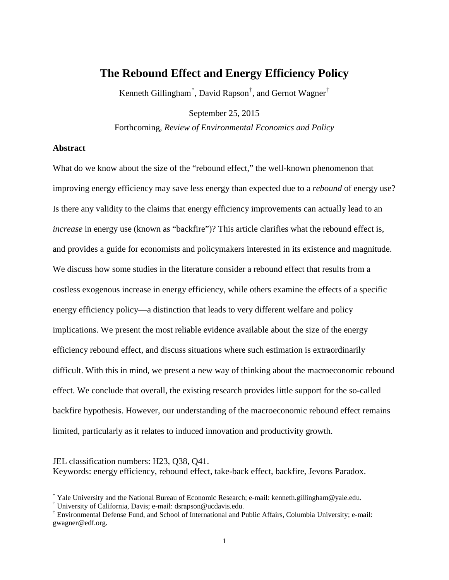# **The Rebound Effect and Energy Efficiency Policy**

Kenneth Gillingham<sup>[\\*](#page-0-0)</sup>, David Rapson<sup>[†](#page-0-1)</sup>, and Gernot Wagner<sup>[‡](#page-0-2)</sup>

September 25, 2015

Forthcoming, *Review of Environmental Economics and Policy*

## **Abstract**

What do we know about the size of the "rebound effect," the well-known phenomenon that improving energy efficiency may save less energy than expected due to a *rebound* of energy use? Is there any validity to the claims that energy efficiency improvements can actually lead to an *increase* in energy use (known as "backfire")? This article clarifies what the rebound effect is, and provides a guide for economists and policymakers interested in its existence and magnitude. We discuss how some studies in the literature consider a rebound effect that results from a costless exogenous increase in energy efficiency, while others examine the effects of a specific energy efficiency policy—a distinction that leads to very different welfare and policy implications. We present the most reliable evidence available about the size of the energy efficiency rebound effect, and discuss situations where such estimation is extraordinarily difficult. With this in mind, we present a new way of thinking about the macroeconomic rebound effect. We conclude that overall, the existing research provides little support for the so-called backfire hypothesis. However, our understanding of the macroeconomic rebound effect remains limited, particularly as it relates to induced innovation and productivity growth.

JEL classification numbers: H23, Q38, Q41. Keywords: energy efficiency, rebound effect, take-back effect, backfire, Jevons Paradox.

<span id="page-0-0"></span><sup>\*</sup> Yale University and the National Bureau of Economic Research; e-mail: kenneth.gillingham@yale.edu.<br>† University of California, Davis; e-mail: dsrapson@ucdavis.edu.<br>‡ Environmental Defense Fund, and School of Internationa

<span id="page-0-1"></span>

<span id="page-0-2"></span>gwagner@edf.org.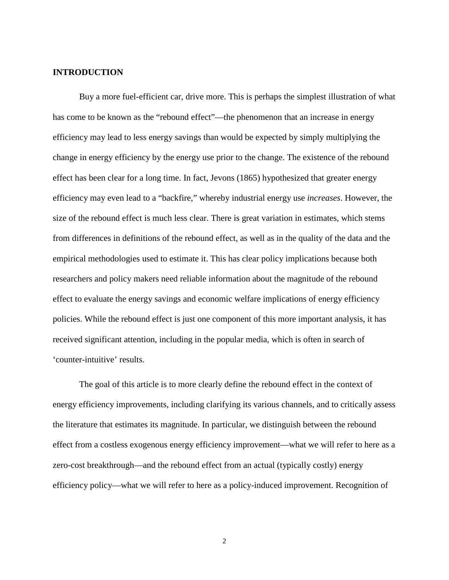# **INTRODUCTION**

Buy a more fuel-efficient car, drive more. This is perhaps the simplest illustration of what has come to be known as the "rebound effect"—the phenomenon that an increase in energy efficiency may lead to less energy savings than would be expected by simply multiplying the change in energy efficiency by the energy use prior to the change. The existence of the rebound effect has been clear for a long time. In fact, [Jevons \(1865\)](#page-35-0) hypothesized that greater energy efficiency may even lead to a "backfire," whereby industrial energy use *increases*. However, the size of the rebound effect is much less clear. There is great variation in estimates, which stems from differences in definitions of the rebound effect, as well as in the quality of the data and the empirical methodologies used to estimate it. This has clear policy implications because both researchers and policy makers need reliable information about the magnitude of the rebound effect to evaluate the energy savings and economic welfare implications of energy efficiency policies. While the rebound effect is just one component of this more important analysis, it has received significant attention, including in the popular media, which is often in search of 'counter-intuitive' results.

The goal of this article is to more clearly define the rebound effect in the context of energy efficiency improvements, including clarifying its various channels, and to critically assess the literature that estimates its magnitude. In particular, we distinguish between the rebound effect from a costless exogenous energy efficiency improvement—what we will refer to here as a zero-cost breakthrough—and the rebound effect from an actual (typically costly) energy efficiency policy—what we will refer to here as a policy-induced improvement. Recognition of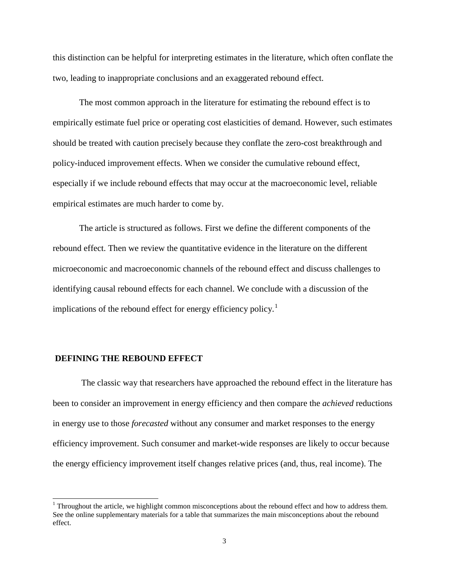this distinction can be helpful for interpreting estimates in the literature, which often conflate the two, leading to inappropriate conclusions and an exaggerated rebound effect.

The most common approach in the literature for estimating the rebound effect is to empirically estimate fuel price or operating cost elasticities of demand. However, such estimates should be treated with caution precisely because they conflate the zero-cost breakthrough and policy-induced improvement effects. When we consider the cumulative rebound effect, especially if we include rebound effects that may occur at the macroeconomic level, reliable empirical estimates are much harder to come by.

The article is structured as follows. First we define the different components of the rebound effect. Then we review the quantitative evidence in the literature on the different microeconomic and macroeconomic channels of the rebound effect and discuss challenges to identifying causal rebound effects for each channel. We conclude with a discussion of the implications of the rebound effect for energy efficiency policy.<sup>[1](#page-2-0)</sup>

# **DEFINING THE REBOUND EFFECT**

The classic way that researchers have approached the rebound effect in the literature has been to consider an improvement in energy efficiency and then compare the *achieved* reductions in energy use to those *forecasted* without any consumer and market responses to the energy efficiency improvement. Such consumer and market-wide responses are likely to occur because the energy efficiency improvement itself changes relative prices (and, thus, real income). The

<span id="page-2-0"></span> $1$  Throughout the article, we highlight common misconceptions about the rebound effect and how to address them. See the online supplementary materials for a table that summarizes the main misconceptions about the rebound effect.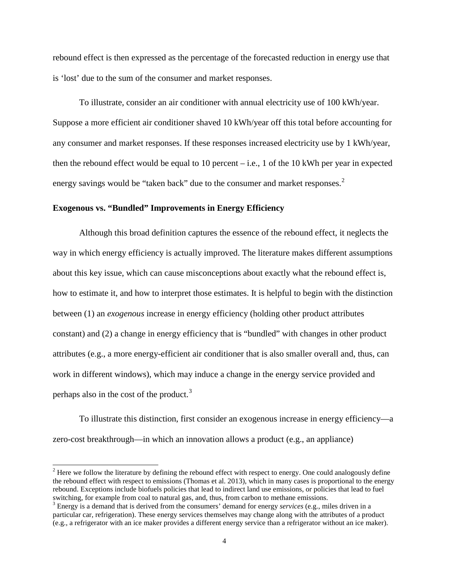rebound effect is then expressed as the percentage of the forecasted reduction in energy use that is 'lost' due to the sum of the consumer and market responses.

To illustrate, consider an air conditioner with annual electricity use of 100 kWh/year. Suppose a more efficient air conditioner shaved 10 kWh/year off this total before accounting for any consumer and market responses. If these responses increased electricity use by 1 kWh/year, then the rebound effect would be equal to 10 percent – i.e., 1 of the 10 kWh per year in expected energy savings would be "taken back" due to the consumer and market responses.<sup>[2](#page-3-0)</sup>

# **Exogenous vs. "Bundled" Improvements in Energy Efficiency**

Although this broad definition captures the essence of the rebound effect, it neglects the way in which energy efficiency is actually improved. The literature makes different assumptions about this key issue, which can cause misconceptions about exactly what the rebound effect is, how to estimate it, and how to interpret those estimates. It is helpful to begin with the distinction between (1) an *exogenous* increase in energy efficiency (holding other product attributes constant) and (2) a change in energy efficiency that is "bundled" with changes in other product attributes (e.g., a more energy-efficient air conditioner that is also smaller overall and, thus, can work in different windows), which may induce a change in the energy service provided and perhaps also in the cost of the product.[3](#page-3-1)

To illustrate this distinction, first consider an exogenous increase in energy efficiency—a zero-cost breakthrough—in which an innovation allows a product (e.g., an appliance)

<span id="page-3-0"></span> $<sup>2</sup>$  Here we follow the literature by defining the rebound effect with respect to energy. One could analogously define</sup> the rebound effect with respect to emissions [\(Thomas et al. 2013\)](#page-36-0), which in many cases is proportional to the energy rebound. Exceptions include biofuels policies that lead to indirect land use emissions, or policies that lead to fuel switching, for example from coal to natural gas, and, thus, from carbon to methane emissions.

<span id="page-3-1"></span><sup>3</sup> Energy is a demand that is derived from the consumers' demand for energy *services* (e.g., miles driven in a particular car, refrigeration). These energy services themselves may change along with the attributes of a product (e.g., a refrigerator with an ice maker provides a different energy service than a refrigerator without an ice maker).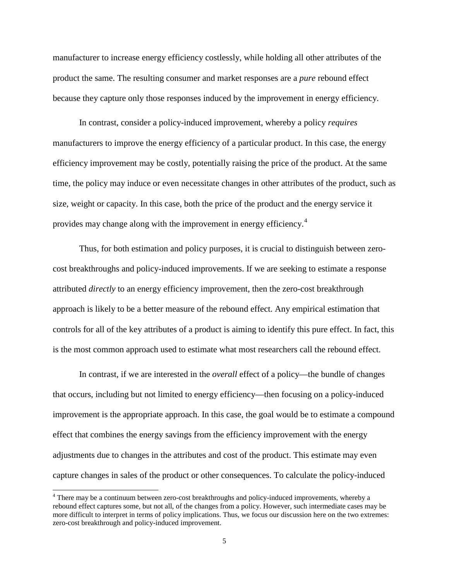manufacturer to increase energy efficiency costlessly, while holding all other attributes of the product the same. The resulting consumer and market responses are a *pure* rebound effect because they capture only those responses induced by the improvement in energy efficiency.

In contrast, consider a policy-induced improvement, whereby a policy *requires* manufacturers to improve the energy efficiency of a particular product. In this case, the energy efficiency improvement may be costly, potentially raising the price of the product. At the same time, the policy may induce or even necessitate changes in other attributes of the product, such as size, weight or capacity. In this case, both the price of the product and the energy service it provides may change along with the improvement in energy efficiency.[4](#page-4-0)

Thus, for both estimation and policy purposes, it is crucial to distinguish between zerocost breakthroughs and policy-induced improvements. If we are seeking to estimate a response attributed *directly* to an energy efficiency improvement, then the zero-cost breakthrough approach is likely to be a better measure of the rebound effect. Any empirical estimation that controls for all of the key attributes of a product is aiming to identify this pure effect. In fact, this is the most common approach used to estimate what most researchers call the rebound effect.

In contrast, if we are interested in the *overall* effect of a policy—the bundle of changes that occurs, including but not limited to energy efficiency—then focusing on a policy-induced improvement is the appropriate approach. In this case, the goal would be to estimate a compound effect that combines the energy savings from the efficiency improvement with the energy adjustments due to changes in the attributes and cost of the product. This estimate may even capture changes in sales of the product or other consequences. To calculate the policy-induced

<span id="page-4-0"></span> <sup>4</sup> There may be a continuum between zero-cost breakthroughs and policy-induced improvements, whereby a rebound effect captures some, but not all, of the changes from a policy. However, such intermediate cases may be more difficult to interpret in terms of policy implications. Thus, we focus our discussion here on the two extremes: zero-cost breakthrough and policy-induced improvement.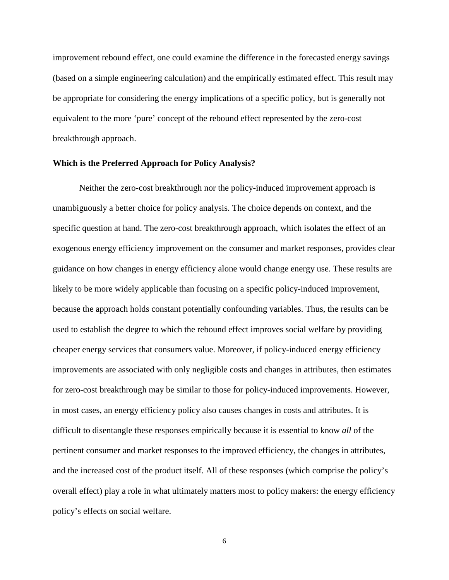improvement rebound effect, one could examine the difference in the forecasted energy savings (based on a simple engineering calculation) and the empirically estimated effect. This result may be appropriate for considering the energy implications of a specific policy, but is generally not equivalent to the more 'pure' concept of the rebound effect represented by the zero-cost breakthrough approach.

#### **Which is the Preferred Approach for Policy Analysis?**

Neither the zero-cost breakthrough nor the policy-induced improvement approach is unambiguously a better choice for policy analysis. The choice depends on context, and the specific question at hand. The zero-cost breakthrough approach, which isolates the effect of an exogenous energy efficiency improvement on the consumer and market responses, provides clear guidance on how changes in energy efficiency alone would change energy use. These results are likely to be more widely applicable than focusing on a specific policy-induced improvement, because the approach holds constant potentially confounding variables. Thus, the results can be used to establish the degree to which the rebound effect improves social welfare by providing cheaper energy services that consumers value. Moreover, if policy-induced energy efficiency improvements are associated with only negligible costs and changes in attributes, then estimates for zero-cost breakthrough may be similar to those for policy-induced improvements. However, in most cases, an energy efficiency policy also causes changes in costs and attributes. It is difficult to disentangle these responses empirically because it is essential to know *all* of the pertinent consumer and market responses to the improved efficiency, the changes in attributes, and the increased cost of the product itself. All of these responses (which comprise the policy's overall effect) play a role in what ultimately matters most to policy makers: the energy efficiency policy's effects on social welfare.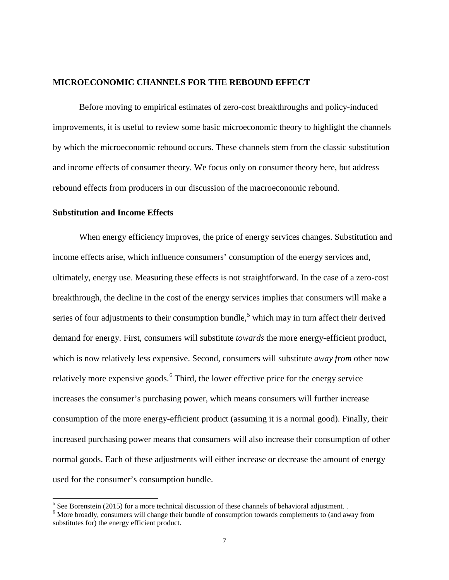#### **MICROECONOMIC CHANNELS FOR THE REBOUND EFFECT**

Before moving to empirical estimates of zero-cost breakthroughs and policy-induced improvements, it is useful to review some basic microeconomic theory to highlight the channels by which the microeconomic rebound occurs. These channels stem from the classic substitution and income effects of consumer theory. We focus only on consumer theory here, but address rebound effects from producers in our discussion of the macroeconomic rebound.

#### **Substitution and Income Effects**

When energy efficiency improves, the price of energy services changes. Substitution and income effects arise, which influence consumers' consumption of the energy services and, ultimately, energy use. Measuring these effects is not straightforward. In the case of a zero-cost breakthrough, the decline in the cost of the energy services implies that consumers will make a series of four adjustments to their consumption bundle,<sup>[5](#page-6-0)</sup> which may in turn affect their derived demand for energy. First, consumers will substitute *towards* the more energy-efficient product, which is now relatively less expensive. Second, consumers will substitute *away from* other now relatively more expensive goods.<sup>[6](#page-6-1)</sup> Third, the lower effective price for the energy service increases the consumer's purchasing power, which means consumers will further increase consumption of the more energy-efficient product (assuming it is a normal good). Finally, their increased purchasing power means that consumers will also increase their consumption of other normal goods. Each of these adjustments will either increase or decrease the amount of energy used for the consumer's consumption bundle.

<span id="page-6-1"></span><span id="page-6-0"></span><sup>&</sup>lt;sup>5</sup> Se[e Borenstein \(2015\)](#page-34-0) for a more technical discussion of these channels of behavioral adjustment. . <sup>6</sup> More broadly, consumers will change their bundle of consumption towards complements to (and away from substitutes for) the energy efficient product.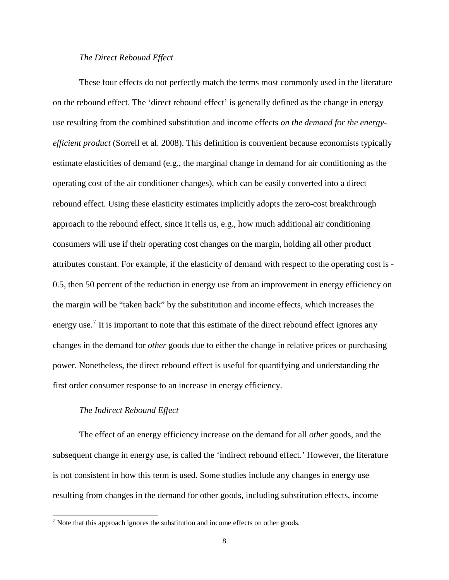## *The Direct Rebound Effect*

These four effects do not perfectly match the terms most commonly used in the literature on the rebound effect. The 'direct rebound effect' is generally defined as the change in energy use resulting from the combined substitution and income effects *on the demand for the energyefficient product* [\(Sorrell et al. 2008\)](#page-36-1). This definition is convenient because economists typically estimate elasticities of demand (e.g., the marginal change in demand for air conditioning as the operating cost of the air conditioner changes), which can be easily converted into a direct rebound effect. Using these elasticity estimates implicitly adopts the zero-cost breakthrough approach to the rebound effect, since it tells us, e.g., how much additional air conditioning consumers will use if their operating cost changes on the margin, holding all other product attributes constant. For example, if the elasticity of demand with respect to the operating cost is - 0.5, then 50 percent of the reduction in energy use from an improvement in energy efficiency on the margin will be "taken back" by the substitution and income effects, which increases the energy use.<sup>[7](#page-7-0)</sup> It is important to note that this estimate of the direct rebound effect ignores any changes in the demand for *other* goods due to either the change in relative prices or purchasing power. Nonetheless, the direct rebound effect is useful for quantifying and understanding the first order consumer response to an increase in energy efficiency.

# *The Indirect Rebound Effect*

The effect of an energy efficiency increase on the demand for all *other* goods, and the subsequent change in energy use, is called the 'indirect rebound effect.' However, the literature is not consistent in how this term is used. Some studies include any changes in energy use resulting from changes in the demand for other goods, including substitution effects, income

<span id="page-7-0"></span> $<sup>7</sup>$  Note that this approach ignores the substitution and income effects on other goods.</sup>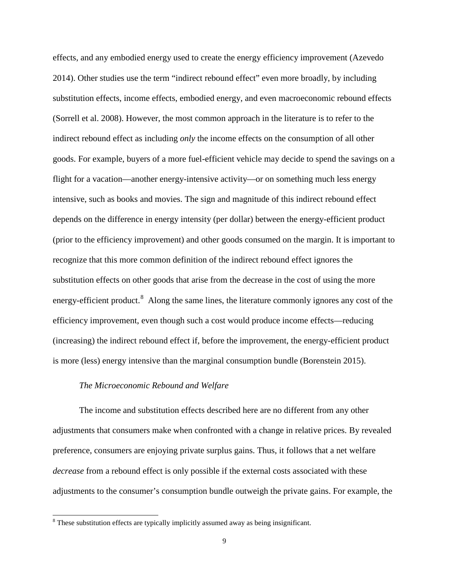effects, and any embodied energy used to create the energy efficiency improvement [\(Azevedo](#page-34-1)  [2014\)](#page-34-1). Other studies use the term "indirect rebound effect" even more broadly, by including substitution effects, income effects, embodied energy, and even macroeconomic rebound effects [\(Sorrell et al. 2008\)](#page-36-1). However, the most common approach in the literature is to refer to the indirect rebound effect as including *only* the income effects on the consumption of all other goods. For example, buyers of a more fuel-efficient vehicle may decide to spend the savings on a flight for a vacation—another energy-intensive activity—or on something much less energy intensive, such as books and movies. The sign and magnitude of this indirect rebound effect depends on the difference in energy intensity (per dollar) between the energy-efficient product (prior to the efficiency improvement) and other goods consumed on the margin. It is important to recognize that this more common definition of the indirect rebound effect ignores the substitution effects on other goods that arise from the decrease in the cost of using the more energy-efficient product.<sup>[8](#page-8-0)</sup> Along the same lines, the literature commonly ignores any cost of the efficiency improvement, even though such a cost would produce income effects—reducing (increasing) the indirect rebound effect if, before the improvement, the energy-efficient product is more (less) energy intensive than the marginal consumption bundle [\(Borenstein 2015\)](#page-34-0).

#### *The Microeconomic Rebound and Welfare*

The income and substitution effects described here are no different from any other adjustments that consumers make when confronted with a change in relative prices. By revealed preference, consumers are enjoying private surplus gains. Thus, it follows that a net welfare *decrease* from a rebound effect is only possible if the external costs associated with these adjustments to the consumer's consumption bundle outweigh the private gains. For example, the

<span id="page-8-0"></span><sup>&</sup>lt;sup>8</sup> These substitution effects are typically implicitly assumed away as being insignificant.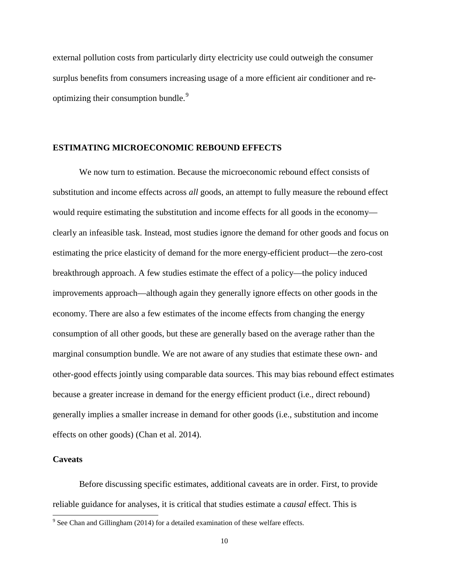external pollution costs from particularly dirty electricity use could outweigh the consumer surplus benefits from consumers increasing usage of a more efficient air conditioner and re-optimizing their consumption bundle.<sup>[9](#page-9-0)</sup>

#### **ESTIMATING MICROECONOMIC REBOUND EFFECTS**

We now turn to estimation. Because the microeconomic rebound effect consists of substitution and income effects across *all* goods, an attempt to fully measure the rebound effect would require estimating the substitution and income effects for all goods in the economy clearly an infeasible task. Instead, most studies ignore the demand for other goods and focus on estimating the price elasticity of demand for the more energy-efficient product—the zero-cost breakthrough approach. A few studies estimate the effect of a policy—the policy induced improvements approach—although again they generally ignore effects on other goods in the economy. There are also a few estimates of the income effects from changing the energy consumption of all other goods, but these are generally based on the average rather than the marginal consumption bundle. We are not aware of any studies that estimate these own- and other-good effects jointly using comparable data sources. This may bias rebound effect estimates because a greater increase in demand for the energy efficient product (i.e., direct rebound) generally implies a smaller increase in demand for other goods (i.e., substitution and income effects on other goods) [\(Chan et al. 2014\)](#page-34-2).

# **Caveats**

Before discussing specific estimates, additional caveats are in order. First, to provide reliable guidance for analyses, it is critical that studies estimate a *causal* effect. This is

<span id="page-9-0"></span><sup>&</sup>lt;sup>9</sup> See Chan and Gillingham (2014) for a detailed examination of these welfare effects.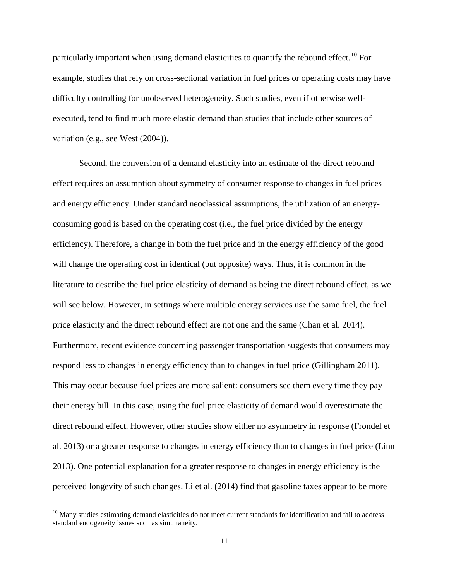particularly important when using demand elasticities to quantify the rebound effect.<sup>[10](#page-10-0)</sup> For example, studies that rely on cross-sectional variation in fuel prices or operating costs may have difficulty controlling for unobserved heterogeneity. Such studies, even if otherwise wellexecuted, tend to find much more elastic demand than studies that include other sources of variation (e.g., see [West \(2004\)\)](#page-36-2).

Second, the conversion of a demand elasticity into an estimate of the direct rebound effect requires an assumption about symmetry of consumer response to changes in fuel prices and energy efficiency. Under standard neoclassical assumptions, the utilization of an energyconsuming good is based on the operating cost (i.e., the fuel price divided by the energy efficiency). Therefore, a change in both the fuel price and in the energy efficiency of the good will change the operating cost in identical (but opposite) ways. Thus, it is common in the literature to describe the fuel price elasticity of demand as being the direct rebound effect, as we will see below. However, in settings where multiple energy services use the same fuel, the fuel price elasticity and the direct rebound effect are not one and the same [\(Chan et al. 2014\)](#page-34-2). Furthermore, recent evidence concerning passenger transportation suggests that consumers may respond less to changes in energy efficiency than to changes in fuel price [\(Gillingham 2011\)](#page-35-1). This may occur because fuel prices are more salient: consumers see them every time they pay their energy bill. In this case, using the fuel price elasticity of demand would overestimate the direct rebound effect. However, other studies show either no asymmetry in response [\(Frondel et](#page-35-2)  [al. 2013\)](#page-35-2) or a greater response to changes in energy efficiency than to changes in fuel price [\(Linn](#page-36-3)  [2013\)](#page-36-3). One potential explanation for a greater response to changes in energy efficiency is the perceived longevity of such changes. [Li et al. \(2014\)](#page-35-3) find that gasoline taxes appear to be more

<span id="page-10-0"></span> $10$  Many studies estimating demand elasticities do not meet current standards for identification and fail to address standard endogeneity issues such as simultaneity.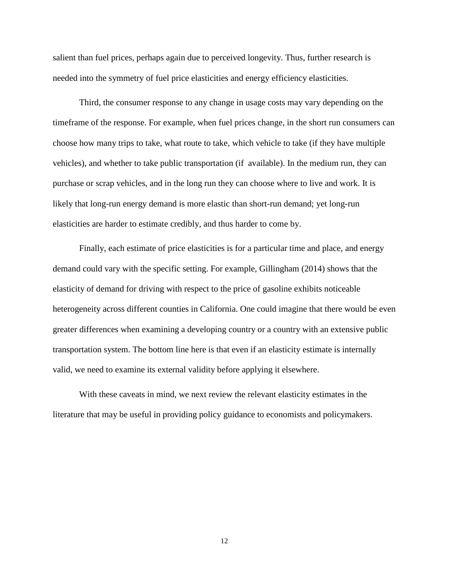salient than fuel prices, perhaps again due to perceived longevity. Thus, further research is needed into the symmetry of fuel price elasticities and energy efficiency elasticities.

Third, the consumer response to any change in usage costs may vary depending on the timeframe of the response. For example, when fuel prices change, in the short run consumers can choose how many trips to take, what route to take, which vehicle to take (if they have multiple vehicles), and whether to take public transportation (if available). In the medium run, they can purchase or scrap vehicles, and in the long run they can choose where to live and work. It is likely that long-run energy demand is more elastic than short-run demand; yet long-run elasticities are harder to estimate credibly, and thus harder to come by.

Finally, each estimate of price elasticities is for a particular time and place, and energy demand could vary with the specific setting. For example, [Gillingham \(2014\)](#page-35-4) shows that the elasticity of demand for driving with respect to the price of gasoline exhibits noticeable heterogeneity across different counties in California. One could imagine that there would be even greater differences when examining a developing country or a country with an extensive public transportation system. The bottom line here is that even if an elasticity estimate is internally valid, we need to examine its external validity before applying it elsewhere.

With these caveats in mind, we next review the relevant elasticity estimates in the literature that may be useful in providing policy guidance to economists and policymakers.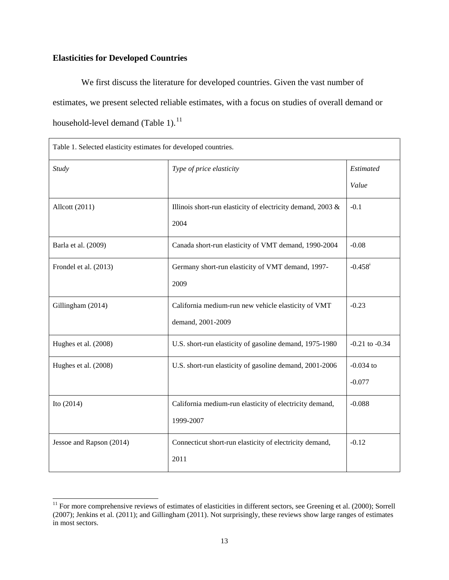# **Elasticities for Developed Countries**

We first discuss the literature for developed countries. Given the vast number of estimates, we present selected reliable estimates, with a focus on studies of overall demand or household-level demand (Table 1). $^{11}$  $^{11}$  $^{11}$ 

| Table 1. Selected elasticity estimates for developed countries. |                                                             |                    |  |  |
|-----------------------------------------------------------------|-------------------------------------------------------------|--------------------|--|--|
| Study                                                           | Type of price elasticity                                    | Estimated          |  |  |
|                                                                 |                                                             | Value              |  |  |
| Allcott (2011)                                                  | Illinois short-run elasticity of electricity demand, 2003 & | $-0.1$             |  |  |
|                                                                 | 2004                                                        |                    |  |  |
| Barla et al. (2009)                                             | Canada short-run elasticity of VMT demand, 1990-2004        | $-0.08$            |  |  |
| Frondel et al. (2013)                                           | Germany short-run elasticity of VMT demand, 1997-           | $-0.458^*$         |  |  |
|                                                                 | 2009                                                        |                    |  |  |
| Gillingham (2014)                                               | California medium-run new vehicle elasticity of VMT         | $-0.23$            |  |  |
|                                                                 | demand, 2001-2009                                           |                    |  |  |
| Hughes et al. (2008)                                            | U.S. short-run elasticity of gasoline demand, 1975-1980     | $-0.21$ to $-0.34$ |  |  |
| Hughes et al. (2008)                                            | U.S. short-run elasticity of gasoline demand, 2001-2006     | $-0.034$ to        |  |  |
|                                                                 |                                                             | $-0.077$           |  |  |
| Ito (2014)                                                      | California medium-run elasticity of electricity demand,     | $-0.088$           |  |  |
|                                                                 | 1999-2007                                                   |                    |  |  |
| Jessoe and Rapson (2014)                                        | Connecticut short-run elasticity of electricity demand,     | $-0.12$            |  |  |
|                                                                 | 2011                                                        |                    |  |  |

<span id="page-12-0"></span> $11$  For more comprehensive reviews of estimates of elasticities in different sectors, see [Greening et al. \(2000\);](#page-35-8) Sorrell (2007); [Jenkins et al. \(2011\);](#page-35-9) and [Gillingham \(2011\).](#page-35-1) Not surprisingly, these reviews show large ranges of estimates in most sectors.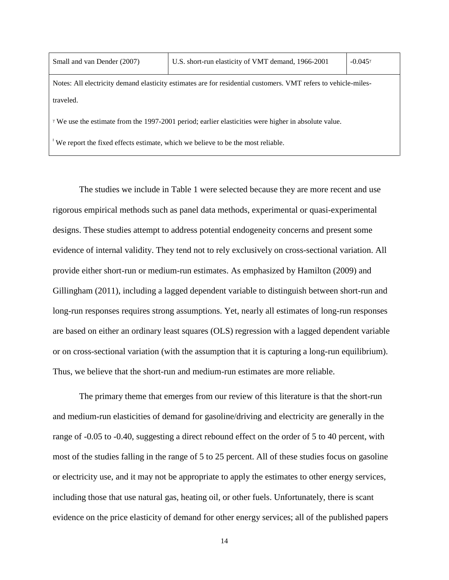| Small and van Dender (2007)                                                                                            | U.S. short-run elasticity of VMT demand, 1966-2001 | $-0.045^{\gamma}$ |  |  |
|------------------------------------------------------------------------------------------------------------------------|----------------------------------------------------|-------------------|--|--|
| Notes: All electricity demand elasticity estimates are for residential customers. VMT refers to vehicle-miles-         |                                                    |                   |  |  |
| traveled.                                                                                                              |                                                    |                   |  |  |
| <sup><i>Y</i></sup> We use the estimate from the 1997-2001 period; earlier elasticities were higher in absolute value. |                                                    |                   |  |  |

ǂ We report the fixed effects estimate, which we believe to be the most reliable.

The studies we include in Table 1 were selected because they are more recent and use rigorous empirical methods such as panel data methods, experimental or quasi-experimental designs. These studies attempt to address potential endogeneity concerns and present some evidence of internal validity. They tend not to rely exclusively on cross-sectional variation. All provide either short-run or medium-run estimates. As emphasized by [Hamilton \(2009\)](#page-35-10) and [Gillingham \(2011\),](#page-35-1) including a lagged dependent variable to distinguish between short-run and long-run responses requires strong assumptions. Yet, nearly all estimates of long-run responses are based on either an ordinary least squares (OLS) regression with a lagged dependent variable or on cross-sectional variation (with the assumption that it is capturing a long-run equilibrium). Thus, we believe that the short-run and medium-run estimates are more reliable.

The primary theme that emerges from our review of this literature is that the short-run and medium-run elasticities of demand for gasoline/driving and electricity are generally in the range of -0.05 to -0.40, suggesting a direct rebound effect on the order of 5 to 40 percent, with most of the studies falling in the range of 5 to 25 percent. All of these studies focus on gasoline or electricity use, and it may not be appropriate to apply the estimates to other energy services, including those that use natural gas, heating oil, or other fuels. Unfortunately, there is scant evidence on the price elasticity of demand for other energy services; all of the published papers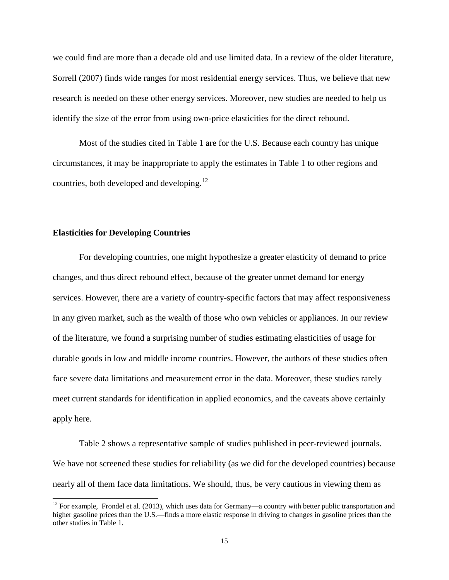we could find are more than a decade old and use limited data. In a review of the older literature, [Sorrell \(2007\)](#page-36-4) finds wide ranges for most residential energy services. Thus, we believe that new research is needed on these other energy services. Moreover, new studies are needed to help us identify the size of the error from using own-price elasticities for the direct rebound.

Most of the studies cited in Table 1 are for the U.S. Because each country has unique circumstances, it may be inappropriate to apply the estimates in Table 1 to other regions and countries, both developed and developing. $^{12}$  $^{12}$  $^{12}$ 

#### **Elasticities for Developing Countries**

For developing countries, one might hypothesize a greater elasticity of demand to price changes, and thus direct rebound effect, because of the greater unmet demand for energy services. However, there are a variety of country-specific factors that may affect responsiveness in any given market, such as the wealth of those who own vehicles or appliances. In our review of the literature, we found a surprising number of studies estimating elasticities of usage for durable goods in low and middle income countries. However, the authors of these studies often face severe data limitations and measurement error in the data. Moreover, these studies rarely meet current standards for identification in applied economics, and the caveats above certainly apply here.

Table 2 shows a representative sample of studies published in peer-reviewed journals. We have not screened these studies for reliability (as we did for the developed countries) because nearly all of them face data limitations. We should, thus, be very cautious in viewing them as

<span id="page-14-0"></span> $12$  For example, [Frondel et al. \(2013\),](#page-35-2) which uses data for Germany—a country with better public transportation and higher gasoline prices than the U.S.—finds a more elastic response in driving to changes in gasoline prices than the other studies in Table 1.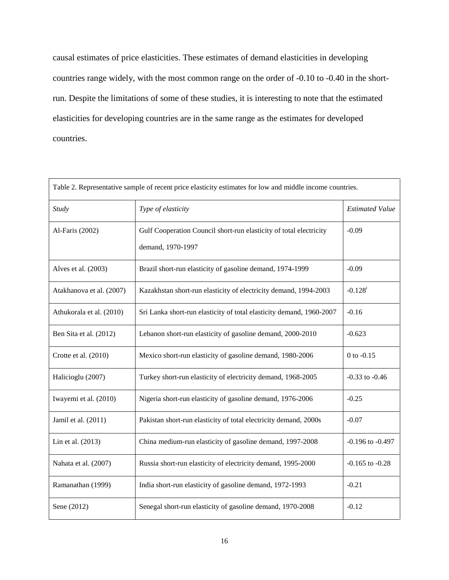causal estimates of price elasticities. These estimates of demand elasticities in developing countries range widely, with the most common range on the order of -0.10 to -0.40 in the shortrun. Despite the limitations of some of these studies, it is interesting to note that the estimated elasticities for developing countries are in the same range as the estimates for developed countries.

| Table 2. Representative sample of recent price elasticity estimates for low and middle income countries. |                                                                                         |                        |  |  |
|----------------------------------------------------------------------------------------------------------|-----------------------------------------------------------------------------------------|------------------------|--|--|
| Study                                                                                                    | Type of elasticity                                                                      | <b>Estimated Value</b> |  |  |
| Al-Faris (2002)                                                                                          | Gulf Cooperation Council short-run elasticity of total electricity<br>demand, 1970-1997 | $-0.09$                |  |  |
|                                                                                                          |                                                                                         |                        |  |  |
| Alves et al. (2003)                                                                                      | Brazil short-run elasticity of gasoline demand, 1974-1999                               | $-0.09$                |  |  |
| Atakhanova et al. (2007)                                                                                 | Kazakhstan short-run elasticity of electricity demand, 1994-2003                        | $-0.128$ <sup>+</sup>  |  |  |
| Athukorala et al. (2010)                                                                                 | Sri Lanka short-run elasticity of total elasticity demand, 1960-2007                    | $-0.16$                |  |  |
| Ben Sita et al. (2012)                                                                                   | Lebanon short-run elasticity of gasoline demand, 2000-2010                              | $-0.623$               |  |  |
| Crotte et al. (2010)                                                                                     | Mexico short-run elasticity of gasoline demand, 1980-2006                               | $0$ to $-0.15$         |  |  |
| Halicioglu (2007)                                                                                        | Turkey short-run elasticity of electricity demand, 1968-2005                            | $-0.33$ to $-0.46$     |  |  |
| Iwayemi et al. (2010)                                                                                    | Nigeria short-run elasticity of gasoline demand, 1976-2006                              | $-0.25$                |  |  |
| Jamil et al. (2011)                                                                                      | Pakistan short-run elasticity of total electricity demand, 2000s                        | $-0.07$                |  |  |
| Lin et al. (2013)                                                                                        | China medium-run elasticity of gasoline demand, 1997-2008                               | $-0.196$ to $-0.497$   |  |  |
| Nahata et al. (2007)                                                                                     | Russia short-run elasticity of electricity demand, 1995-2000                            | $-0.165$ to $-0.28$    |  |  |
| Ramanathan (1999)                                                                                        | India short-run elasticity of gasoline demand, 1972-1993                                | $-0.21$                |  |  |
| Sene (2012)                                                                                              | Senegal short-run elasticity of gasoline demand, 1970-2008                              | $-0.12$                |  |  |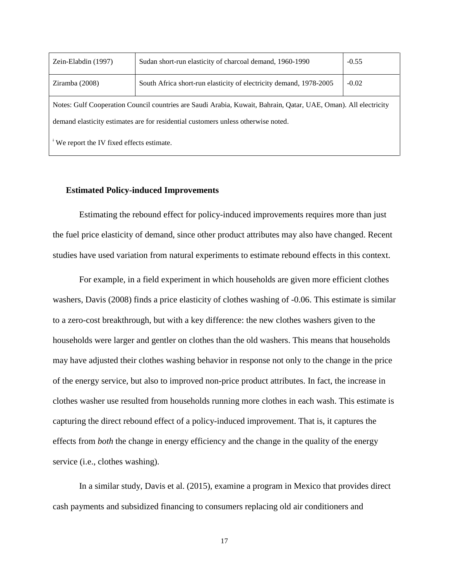| Zein-Elabdin (1997)                                                                                             | Sudan short-run elasticity of charcoal demand, 1960-1990           | $-0.55$ |  |  |
|-----------------------------------------------------------------------------------------------------------------|--------------------------------------------------------------------|---------|--|--|
| Ziramba (2008)                                                                                                  | South Africa short-run elasticity of electricity demand, 1978-2005 | $-0.02$ |  |  |
| Notes: Gulf Cooperation Council countries are Saudi Arabia, Kuwait, Bahrain, Qatar, UAE, Oman). All electricity |                                                                    |         |  |  |
| demand elasticity estimates are for residential customers unless otherwise noted.                               |                                                                    |         |  |  |
| <sup>*</sup> We report the IV fixed effects estimate.                                                           |                                                                    |         |  |  |

#### **Estimated Policy-induced Improvements**

Estimating the rebound effect for policy-induced improvements requires more than just the fuel price elasticity of demand, since other product attributes may also have changed. Recent studies have used variation from natural experiments to estimate rebound effects in this context.

For example, in a field experiment in which households are given more efficient clothes washers, [Davis \(2008\)](#page-34-11) finds a price elasticity of clothes washing of -0.06. This estimate is similar to a zero-cost breakthrough, but with a key difference: the new clothes washers given to the households were larger and gentler on clothes than the old washers. This means that households may have adjusted their clothes washing behavior in response not only to the change in the price of the energy service, but also to improved non-price product attributes. In fact, the increase in clothes washer use resulted from households running more clothes in each wash. This estimate is capturing the direct rebound effect of a policy-induced improvement. That is, it captures the effects from *both* the change in energy efficiency and the change in the quality of the energy service (i.e., clothes washing).

In a similar study, [Davis et al. \(2015\),](#page-34-12) examine a program in Mexico that provides direct cash payments and subsidized financing to consumers replacing old air conditioners and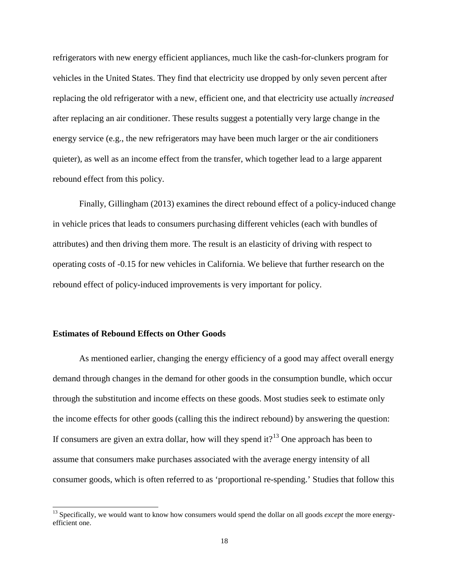refrigerators with new energy efficient appliances, much like the cash-for-clunkers program for vehicles in the United States. They find that electricity use dropped by only seven percent after replacing the old refrigerator with a new, efficient one, and that electricity use actually *increased* after replacing an air conditioner. These results suggest a potentially very large change in the energy service (e.g., the new refrigerators may have been much larger or the air conditioners quieter), as well as an income effect from the transfer, which together lead to a large apparent rebound effect from this policy.

Finally, [Gillingham \(2013\)](#page-35-14) examines the direct rebound effect of a policy-induced change in vehicle prices that leads to consumers purchasing different vehicles (each with bundles of attributes) and then driving them more. The result is an elasticity of driving with respect to operating costs of -0.15 for new vehicles in California. We believe that further research on the rebound effect of policy-induced improvements is very important for policy.

## **Estimates of Rebound Effects on Other Goods**

As mentioned earlier, changing the energy efficiency of a good may affect overall energy demand through changes in the demand for other goods in the consumption bundle, which occur through the substitution and income effects on these goods. Most studies seek to estimate only the income effects for other goods (calling this the indirect rebound) by answering the question: If consumers are given an extra dollar, how will they spend it?<sup>[13](#page-17-0)</sup> One approach has been to assume that consumers make purchases associated with the average energy intensity of all consumer goods, which is often referred to as 'proportional re-spending.' Studies that follow this

<span id="page-17-0"></span><sup>&</sup>lt;sup>13</sup> Specifically, we would want to know how consumers would spend the dollar on all goods *except* the more energyefficient one.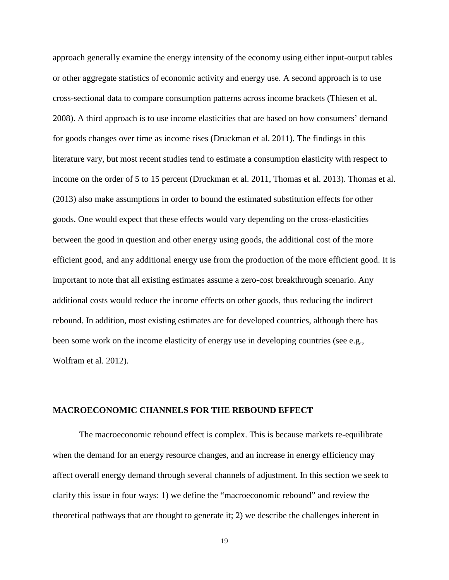approach generally examine the energy intensity of the economy using either input-output tables or other aggregate statistics of economic activity and energy use. A second approach is to use cross-sectional data to compare consumption patterns across income brackets [\(Thiesen et al.](#page-36-10)  [2008\)](#page-36-10). A third approach is to use income elasticities that are based on how consumers' demand for goods changes over time as income rises [\(Druckman et al. 2011\)](#page-34-13). The findings in this literature vary, but most recent studies tend to estimate a consumption elasticity with respect to income on the order of 5 to 15 percent [\(Druckman et al. 2011,](#page-34-13) [Thomas et al. 2013\)](#page-36-0). [Thomas et al.](#page-36-0)  (2013) also make assumptions in order to bound the estimated substitution effects for other goods. One would expect that these effects would vary depending on the cross-elasticities between the good in question and other energy using goods, the additional cost of the more efficient good, and any additional energy use from the production of the more efficient good. It is important to note that all existing estimates assume a zero-cost breakthrough scenario. Any additional costs would reduce the income effects on other goods, thus reducing the indirect rebound. In addition, most existing estimates are for developed countries, although there has been some work on the income elasticity of energy use in developing countries (see e.g., [Wolfram et al. 2012\)](#page-37-2).

#### **MACROECONOMIC CHANNELS FOR THE REBOUND EFFECT**

The macroeconomic rebound effect is complex. This is because markets re-equilibrate when the demand for an energy resource changes, and an increase in energy efficiency may affect overall energy demand through several channels of adjustment. In this section we seek to clarify this issue in four ways: 1) we define the "macroeconomic rebound" and review the theoretical pathways that are thought to generate it; 2) we describe the challenges inherent in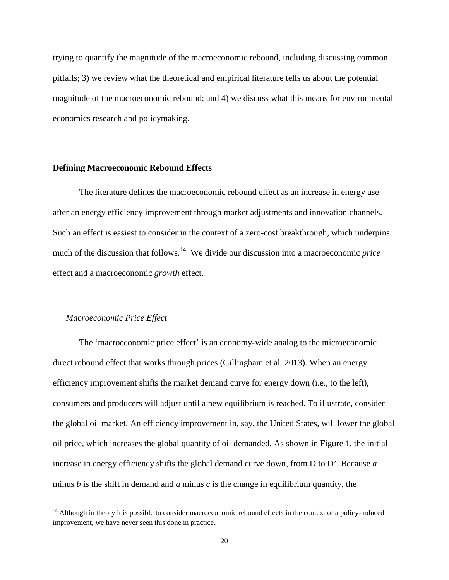trying to quantify the magnitude of the macroeconomic rebound, including discussing common pitfalls; 3) we review what the theoretical and empirical literature tells us about the potential magnitude of the macroeconomic rebound; and 4) we discuss what this means for environmental economics research and policymaking.

#### **Defining Macroeconomic Rebound Effects**

The literature defines the macroeconomic rebound effect as an increase in energy use after an energy efficiency improvement through market adjustments and innovation channels. Such an effect is easiest to consider in the context of a zero-cost breakthrough, which underpins much of the discussion that follows. [14](#page-19-0) We divide our discussion into a macroeconomic *price* effect and a macroeconomic *growth* effect.

## *Macroeconomic Price Effect*

The 'macroeconomic price effect' is an economy-wide analog to the microeconomic direct rebound effect that works through prices [\(Gillingham et al. 2013\)](#page-35-15). When an energy efficiency improvement shifts the market demand curve for energy down (i.e., to the left), consumers and producers will adjust until a new equilibrium is reached. To illustrate, consider the global oil market. An efficiency improvement in, say, the United States, will lower the global oil price, which increases the global quantity of oil demanded. As shown in Figure 1, the initial increase in energy efficiency shifts the global demand curve down, from D to D'. Because *a* minus *b* is the shift in demand and *a* minus *c* is the change in equilibrium quantity, the

<span id="page-19-0"></span><sup>&</sup>lt;sup>14</sup> Although in theory it is possible to consider macroeconomic rebound effects in the context of a policy-induced improvement, we have never seen this done in practice.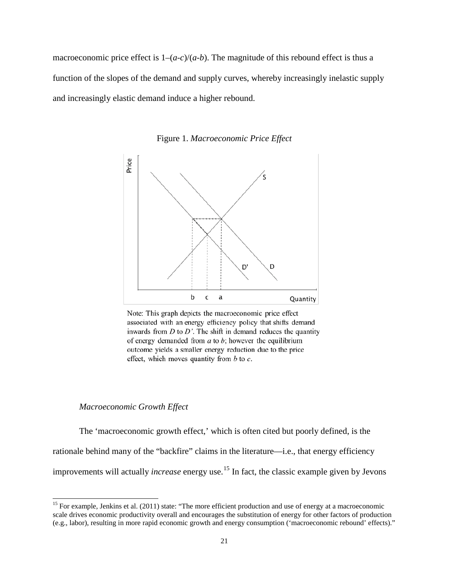macroeconomic price effect is  $1-(a-c)/(a-b)$ . The magnitude of this rebound effect is thus a function of the slopes of the demand and supply curves, whereby increasingly inelastic supply and increasingly elastic demand induce a higher rebound.

> Price D, D b C a Quantity

Figure 1. *Macroeconomic Price Effect*

Note: This graph depicts the macroeconomic price effect associated with an energy efficiency policy that shifts demand inwards from  $D$  to  $D'$ . The shift in demand reduces the quantity of energy demanded from  $a$  to  $b$ ; however the equilibrium outcome yields a smaller energy reduction due to the price effect, which moves quantity from  $b$  to  $c$ .

#### *Macroeconomic Growth Effect*

The 'macroeconomic growth effect,' which is often cited but poorly defined, is the rationale behind many of the "backfire" claims in the literature—i.e., that energy efficiency improvements will actually *increase* energy use. [15](#page-20-0) In fact, the classic example given by Jevons

<span id="page-20-0"></span><sup>&</sup>lt;sup>15</sup> For example, [Jenkins et al. \(2011\)](#page-35-9) state: "The more efficient production and use of energy at a macroeconomic scale drives economic productivity overall and encourages the substitution of energy for other factors of production (e.g., labor), resulting in more rapid economic growth and energy consumption ('macroeconomic rebound' effects)."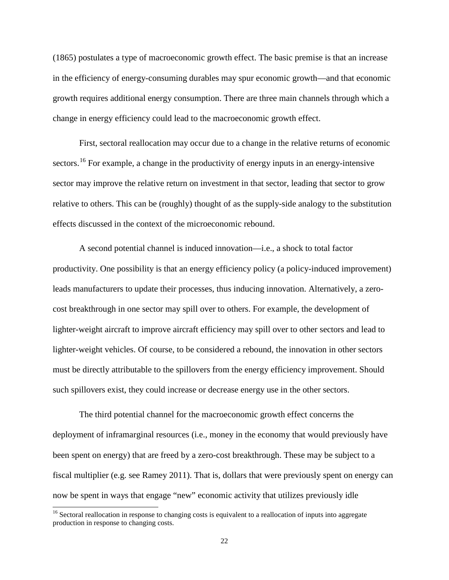(1865) postulates a type of macroeconomic growth effect. The basic premise is that an increase in the efficiency of energy-consuming durables may spur economic growth—and that economic growth requires additional energy consumption. There are three main channels through which a change in energy efficiency could lead to the macroeconomic growth effect.

First, sectoral reallocation may occur due to a change in the relative returns of economic sectors.<sup>[16](#page-21-0)</sup> For example, a change in the productivity of energy inputs in an energy-intensive sector may improve the relative return on investment in that sector, leading that sector to grow relative to others. This can be (roughly) thought of as the supply-side analogy to the substitution effects discussed in the context of the microeconomic rebound.

A second potential channel is induced innovation—i.e., a shock to total factor productivity. One possibility is that an energy efficiency policy (a policy-induced improvement) leads manufacturers to update their processes, thus inducing innovation. Alternatively, a zerocost breakthrough in one sector may spill over to others. For example, the development of lighter-weight aircraft to improve aircraft efficiency may spill over to other sectors and lead to lighter-weight vehicles. Of course, to be considered a rebound, the innovation in other sectors must be directly attributable to the spillovers from the energy efficiency improvement. Should such spillovers exist, they could increase or decrease energy use in the other sectors.

The third potential channel for the macroeconomic growth effect concerns the deployment of inframarginal resources (i.e., money in the economy that would previously have been spent on energy) that are freed by a zero-cost breakthrough. These may be subject to a fiscal multiplier (e.g. see Ramey 2011). That is, dollars that were previously spent on energy can now be spent in ways that engage "new" economic activity that utilizes previously idle

<span id="page-21-0"></span><sup>&</sup>lt;sup>16</sup> Sectoral reallocation in response to changing costs is equivalent to a reallocation of inputs into aggregate production in response to changing costs.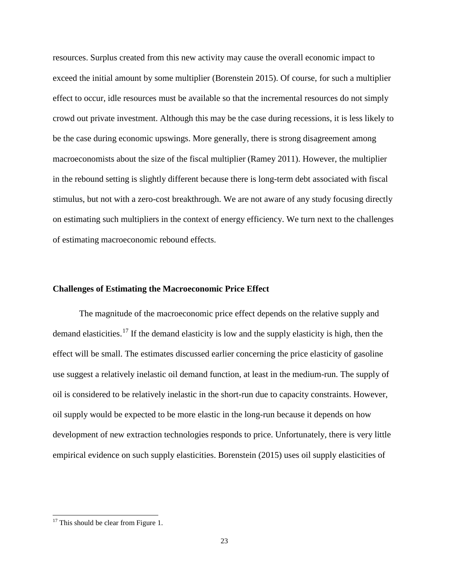resources. Surplus created from this new activity may cause the overall economic impact to exceed the initial amount by some multiplier [\(Borenstein 2015\)](#page-34-0). Of course, for such a multiplier effect to occur, idle resources must be available so that the incremental resources do not simply crowd out private investment. Although this may be the case during recessions, it is less likely to be the case during economic upswings. More generally, there is strong disagreement among macroeconomists about the size of the fiscal multiplier [\(Ramey 2011\)](#page-36-11). However, the multiplier in the rebound setting is slightly different because there is long-term debt associated with fiscal stimulus, but not with a zero-cost breakthrough. We are not aware of any study focusing directly on estimating such multipliers in the context of energy efficiency. We turn next to the challenges of estimating macroeconomic rebound effects.

## **Challenges of Estimating the Macroeconomic Price Effect**

The magnitude of the macroeconomic price effect depends on the relative supply and demand elasticities.<sup>[17](#page-22-0)</sup> If the demand elasticity is low and the supply elasticity is high, then the effect will be small. The estimates discussed earlier concerning the price elasticity of gasoline use suggest a relatively inelastic oil demand function, at least in the medium-run. The supply of oil is considered to be relatively inelastic in the short-run due to capacity constraints. However, oil supply would be expected to be more elastic in the long-run because it depends on how development of new extraction technologies responds to price. Unfortunately, there is very little empirical evidence on such supply elasticities. [Borenstein \(2015\)](#page-34-0) uses oil supply elasticities of

<span id="page-22-0"></span> $17$  This should be clear from Figure 1.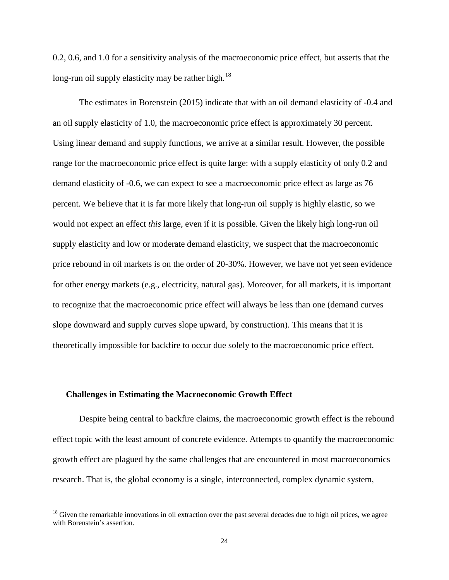0.2, 0.6, and 1.0 for a sensitivity analysis of the macroeconomic price effect, but asserts that the long-run oil supply elasticity may be rather high.<sup>[18](#page-23-0)</sup>

The estimates in [Borenstein \(2015\)](#page-34-0) indicate that with an oil demand elasticity of -0.4 and an oil supply elasticity of 1.0, the macroeconomic price effect is approximately 30 percent. Using linear demand and supply functions, we arrive at a similar result. However, the possible range for the macroeconomic price effect is quite large: with a supply elasticity of only 0.2 and demand elasticity of -0.6, we can expect to see a macroeconomic price effect as large as 76 percent. We believe that it is far more likely that long-run oil supply is highly elastic, so we would not expect an effect *this* large, even if it is possible. Given the likely high long-run oil supply elasticity and low or moderate demand elasticity, we suspect that the macroeconomic price rebound in oil markets is on the order of 20-30%. However, we have not yet seen evidence for other energy markets (e.g., electricity, natural gas). Moreover, for all markets, it is important to recognize that the macroeconomic price effect will always be less than one (demand curves slope downward and supply curves slope upward, by construction). This means that it is theoretically impossible for backfire to occur due solely to the macroeconomic price effect.

#### **Challenges in Estimating the Macroeconomic Growth Effect**

Despite being central to backfire claims, the macroeconomic growth effect is the rebound effect topic with the least amount of concrete evidence. Attempts to quantify the macroeconomic growth effect are plagued by the same challenges that are encountered in most macroeconomics research. That is, the global economy is a single, interconnected, complex dynamic system,

<span id="page-23-0"></span> $18$  Given the remarkable innovations in oil extraction over the past several decades due to high oil prices, we agree with Borenstein's assertion.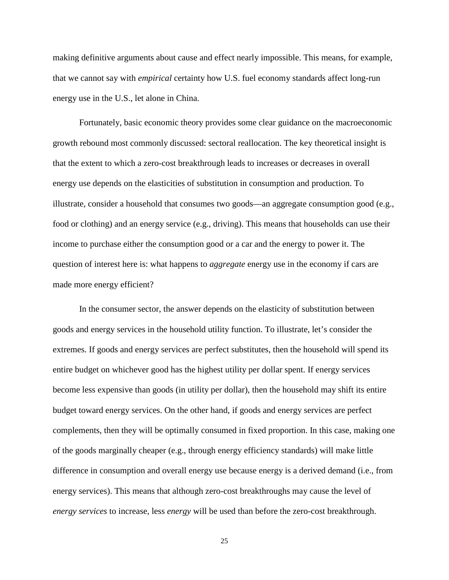making definitive arguments about cause and effect nearly impossible. This means, for example, that we cannot say with *empirical* certainty how U.S. fuel economy standards affect long-run energy use in the U.S., let alone in China.

Fortunately, basic economic theory provides some clear guidance on the macroeconomic growth rebound most commonly discussed: sectoral reallocation. The key theoretical insight is that the extent to which a zero-cost breakthrough leads to increases or decreases in overall energy use depends on the elasticities of substitution in consumption and production. To illustrate, consider a household that consumes two goods—an aggregate consumption good (e.g., food or clothing) and an energy service (e.g., driving). This means that households can use their income to purchase either the consumption good or a car and the energy to power it. The question of interest here is: what happens to *aggregate* energy use in the economy if cars are made more energy efficient?

In the consumer sector, the answer depends on the elasticity of substitution between goods and energy services in the household utility function. To illustrate, let's consider the extremes. If goods and energy services are perfect substitutes, then the household will spend its entire budget on whichever good has the highest utility per dollar spent. If energy services become less expensive than goods (in utility per dollar), then the household may shift its entire budget toward energy services. On the other hand, if goods and energy services are perfect complements, then they will be optimally consumed in fixed proportion. In this case, making one of the goods marginally cheaper (e.g., through energy efficiency standards) will make little difference in consumption and overall energy use because energy is a derived demand (i.e., from energy services). This means that although zero-cost breakthroughs may cause the level of *energy services* to increase, less *energy* will be used than before the zero-cost breakthrough.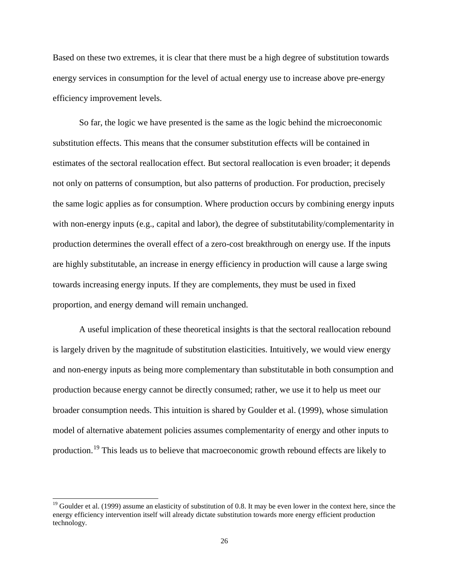Based on these two extremes, it is clear that there must be a high degree of substitution towards energy services in consumption for the level of actual energy use to increase above pre-energy efficiency improvement levels.

So far, the logic we have presented is the same as the logic behind the microeconomic substitution effects. This means that the consumer substitution effects will be contained in estimates of the sectoral reallocation effect. But sectoral reallocation is even broader; it depends not only on patterns of consumption, but also patterns of production. For production, precisely the same logic applies as for consumption. Where production occurs by combining energy inputs with non-energy inputs (e.g., capital and labor), the degree of substitutability/complementarity in production determines the overall effect of a zero-cost breakthrough on energy use. If the inputs are highly substitutable, an increase in energy efficiency in production will cause a large swing towards increasing energy inputs. If they are complements, they must be used in fixed proportion, and energy demand will remain unchanged.

A useful implication of these theoretical insights is that the sectoral reallocation rebound is largely driven by the magnitude of substitution elasticities. Intuitively, we would view energy and non-energy inputs as being more complementary than substitutable in both consumption and production because energy cannot be directly consumed; rather, we use it to help us meet our broader consumption needs. This intuition is shared by [Goulder et al. \(1999\),](#page-35-16) whose simulation model of alternative abatement policies assumes complementarity of energy and other inputs to production.[19](#page-25-0) This leads us to believe that macroeconomic growth rebound effects are likely to

<span id="page-25-0"></span><sup>&</sup>lt;sup>19</sup> Goulder et al. (1999) assume an elasticity of substitution of 0.8. It may be even lower in the context here, since the energy efficiency intervention itself will already dictate substitution towards more energy efficient production technology.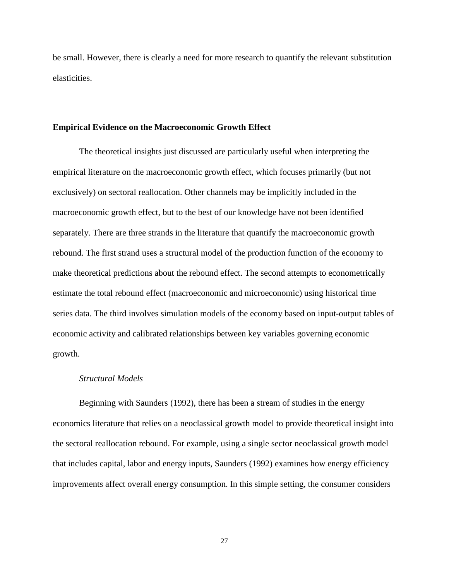be small. However, there is clearly a need for more research to quantify the relevant substitution elasticities.

#### **Empirical Evidence on the Macroeconomic Growth Effect**

The theoretical insights just discussed are particularly useful when interpreting the empirical literature on the macroeconomic growth effect, which focuses primarily (but not exclusively) on sectoral reallocation. Other channels may be implicitly included in the macroeconomic growth effect, but to the best of our knowledge have not been identified separately. There are three strands in the literature that quantify the macroeconomic growth rebound. The first strand uses a structural model of the production function of the economy to make theoretical predictions about the rebound effect. The second attempts to econometrically estimate the total rebound effect (macroeconomic and microeconomic) using historical time series data. The third involves simulation models of the economy based on input-output tables of economic activity and calibrated relationships between key variables governing economic growth.

#### *Structural Models*

Beginning with Saunders [\(1992\)](#page-36-12), there has been a stream of studies in the energy economics literature that relies on a neoclassical growth model to provide theoretical insight into the sectoral reallocation rebound. For example, using a single sector neoclassical growth model that includes capital, labor and energy inputs, Saunders [\(1992\)](#page-36-12) examines how energy efficiency improvements affect overall energy consumption. In this simple setting, the consumer considers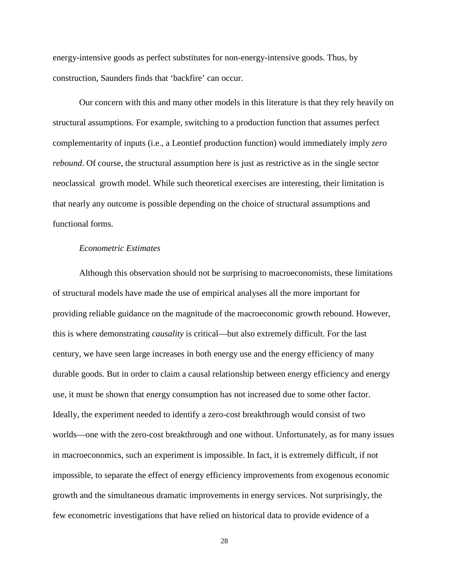energy-intensive goods as perfect substitutes for non-energy-intensive goods. Thus, by construction, Saunders finds that 'backfire' can occur.

Our concern with this and many other models in this literature is that they rely heavily on structural assumptions. For example, switching to a production function that assumes perfect complementarity of inputs (i.e., a Leontief production function) would immediately imply *zero rebound*. Of course, the structural assumption here is just as restrictive as in the single sector neoclassical growth model. While such theoretical exercises are interesting, their limitation is that nearly any outcome is possible depending on the choice of structural assumptions and functional forms.

## *Econometric Estimates*

Although this observation should not be surprising to macroeconomists, these limitations of structural models have made the use of empirical analyses all the more important for providing reliable guidance on the magnitude of the macroeconomic growth rebound. However, this is where demonstrating *causality* is critical—but also extremely difficult. For the last century, we have seen large increases in both energy use and the energy efficiency of many durable goods. But in order to claim a causal relationship between energy efficiency and energy use, it must be shown that energy consumption has not increased due to some other factor. Ideally, the experiment needed to identify a zero-cost breakthrough would consist of two worlds—one with the zero-cost breakthrough and one without. Unfortunately, as for many issues in macroeconomics, such an experiment is impossible. In fact, it is extremely difficult, if not impossible, to separate the effect of energy efficiency improvements from exogenous economic growth and the simultaneous dramatic improvements in energy services. Not surprisingly, the few econometric investigations that have relied on historical data to provide evidence of a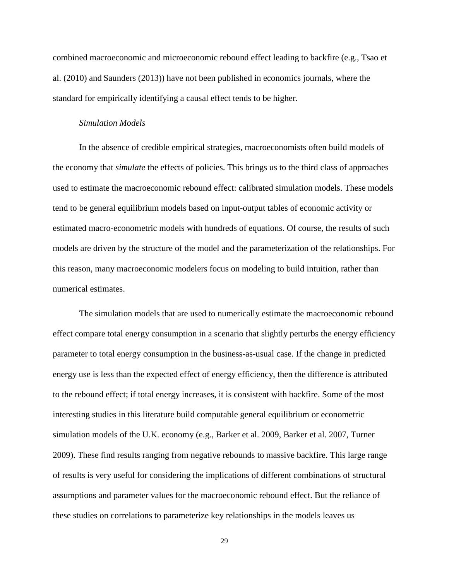combined macroeconomic and microeconomic rebound effect leading to backfire (e.g., [Tsao et](#page-36-13)  al. (2010) and [Saunders \(2013\)\)](#page-36-14) have not been published in economics journals, where the standard for empirically identifying a causal effect tends to be higher.

#### *Simulation Models*

In the absence of credible empirical strategies, macroeconomists often build models of the economy that *simulate* the effects of policies. This brings us to the third class of approaches used to estimate the macroeconomic rebound effect: calibrated simulation models. These models tend to be general equilibrium models based on input-output tables of economic activity or estimated macro-econometric models with hundreds of equations. Of course, the results of such models are driven by the structure of the model and the parameterization of the relationships. For this reason, many macroeconomic modelers focus on modeling to build intuition, rather than numerical estimates.

The simulation models that are used to numerically estimate the macroeconomic rebound effect compare total energy consumption in a scenario that slightly perturbs the energy efficiency parameter to total energy consumption in the business-as-usual case. If the change in predicted energy use is less than the expected effect of energy efficiency, then the difference is attributed to the rebound effect; if total energy increases, it is consistent with backfire. Some of the most interesting studies in this literature build computable general equilibrium or econometric simulation models of the U.K. economy (e.g., [Barker et al. 2009,](#page-34-14) [Barker et al. 2007,](#page-34-15) [Turner](#page-36-15)  [2009\)](#page-36-15). These find results ranging from negative rebounds to massive backfire. This large range of results is very useful for considering the implications of different combinations of structural assumptions and parameter values for the macroeconomic rebound effect. But the reliance of these studies on correlations to parameterize key relationships in the models leaves us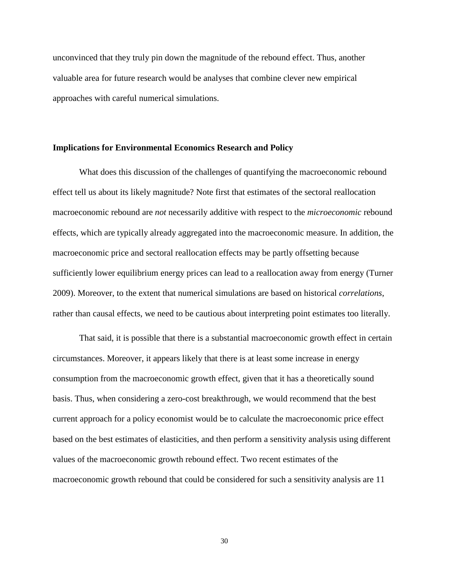unconvinced that they truly pin down the magnitude of the rebound effect. Thus, another valuable area for future research would be analyses that combine clever new empirical approaches with careful numerical simulations.

#### **Implications for Environmental Economics Research and Policy**

What does this discussion of the challenges of quantifying the macroeconomic rebound effect tell us about its likely magnitude? Note first that estimates of the sectoral reallocation macroeconomic rebound are *not* necessarily additive with respect to the *microeconomic* rebound effects, which are typically already aggregated into the macroeconomic measure. In addition, the macroeconomic price and sectoral reallocation effects may be partly offsetting because sufficiently lower equilibrium energy prices can lead to a reallocation away from energy [\(Turner](#page-36-15)  [2009\)](#page-36-15). Moreover, to the extent that numerical simulations are based on historical *correlations*, rather than causal effects, we need to be cautious about interpreting point estimates too literally.

That said, it is possible that there is a substantial macroeconomic growth effect in certain circumstances. Moreover, it appears likely that there is at least some increase in energy consumption from the macroeconomic growth effect, given that it has a theoretically sound basis. Thus, when considering a zero-cost breakthrough, we would recommend that the best current approach for a policy economist would be to calculate the macroeconomic price effect based on the best estimates of elasticities, and then perform a sensitivity analysis using different values of the macroeconomic growth rebound effect. Two recent estimates of the macroeconomic growth rebound that could be considered for such a sensitivity analysis are 11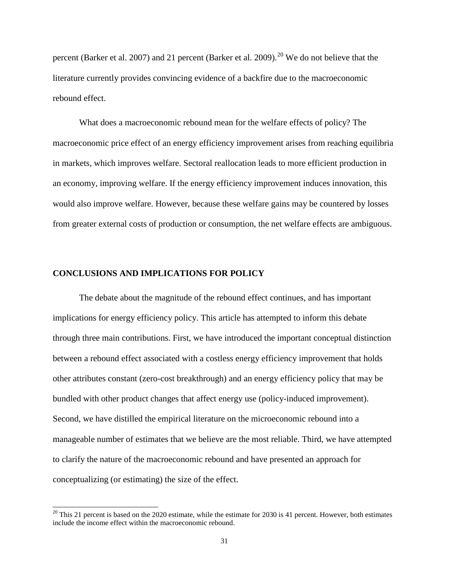percent [\(Barker et al. 2007\)](#page-34-15) and 21 percent [\(Barker et al. 2009\)](#page-34-14).<sup>[20](#page-30-0)</sup> We do not believe that the literature currently provides convincing evidence of a backfire due to the macroeconomic rebound effect.

What does a macroeconomic rebound mean for the welfare effects of policy? The macroeconomic price effect of an energy efficiency improvement arises from reaching equilibria in markets, which improves welfare. Sectoral reallocation leads to more efficient production in an economy, improving welfare. If the energy efficiency improvement induces innovation, this would also improve welfare. However, because these welfare gains may be countered by losses from greater external costs of production or consumption, the net welfare effects are ambiguous.

#### **CONCLUSIONS AND IMPLICATIONS FOR POLICY**

The debate about the magnitude of the rebound effect continues, and has important implications for energy efficiency policy. This article has attempted to inform this debate through three main contributions. First, we have introduced the important conceptual distinction between a rebound effect associated with a costless energy efficiency improvement that holds other attributes constant (zero-cost breakthrough) and an energy efficiency policy that may be bundled with other product changes that affect energy use (policy-induced improvement). Second, we have distilled the empirical literature on the microeconomic rebound into a manageable number of estimates that we believe are the most reliable. Third, we have attempted to clarify the nature of the macroeconomic rebound and have presented an approach for conceptualizing (or estimating) the size of the effect.

<span id="page-30-0"></span> $20$  This 21 percent is based on the 2020 estimate, while the estimate for 2030 is 41 percent. However, both estimates include the income effect within the macroeconomic rebound.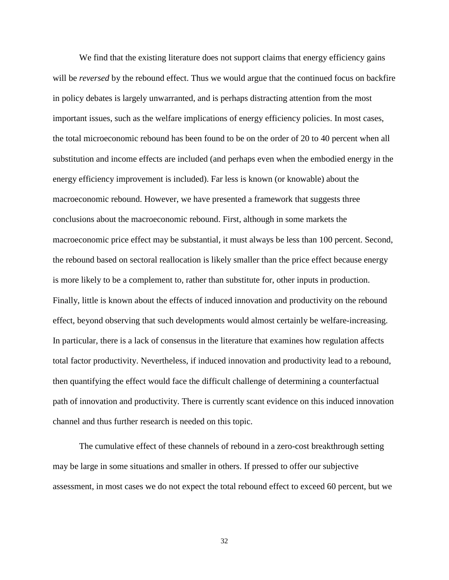We find that the existing literature does not support claims that energy efficiency gains will be *reversed* by the rebound effect. Thus we would argue that the continued focus on backfire in policy debates is largely unwarranted, and is perhaps distracting attention from the most important issues, such as the welfare implications of energy efficiency policies. In most cases, the total microeconomic rebound has been found to be on the order of 20 to 40 percent when all substitution and income effects are included (and perhaps even when the embodied energy in the energy efficiency improvement is included). Far less is known (or knowable) about the macroeconomic rebound. However, we have presented a framework that suggests three conclusions about the macroeconomic rebound. First, although in some markets the macroeconomic price effect may be substantial, it must always be less than 100 percent. Second, the rebound based on sectoral reallocation is likely smaller than the price effect because energy is more likely to be a complement to, rather than substitute for, other inputs in production. Finally, little is known about the effects of induced innovation and productivity on the rebound effect, beyond observing that such developments would almost certainly be welfare-increasing. In particular, there is a lack of consensus in the literature that examines how regulation affects total factor productivity. Nevertheless, if induced innovation and productivity lead to a rebound, then quantifying the effect would face the difficult challenge of determining a counterfactual path of innovation and productivity. There is currently scant evidence on this induced innovation channel and thus further research is needed on this topic.

The cumulative effect of these channels of rebound in a zero-cost breakthrough setting may be large in some situations and smaller in others. If pressed to offer our subjective assessment, in most cases we do not expect the total rebound effect to exceed 60 percent, but we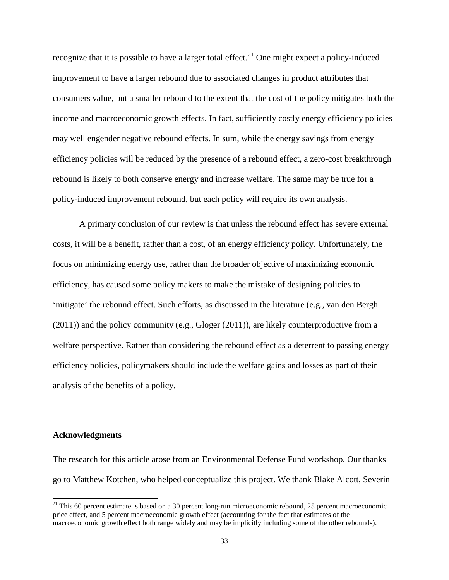recognize that it is possible to have a larger total effect.<sup>[21](#page-32-0)</sup> One might expect a policy-induced improvement to have a larger rebound due to associated changes in product attributes that consumers value, but a smaller rebound to the extent that the cost of the policy mitigates both the income and macroeconomic growth effects. In fact, sufficiently costly energy efficiency policies may well engender negative rebound effects. In sum, while the energy savings from energy efficiency policies will be reduced by the presence of a rebound effect, a zero-cost breakthrough rebound is likely to both conserve energy and increase welfare. The same may be true for a policy-induced improvement rebound, but each policy will require its own analysis.

A primary conclusion of our review is that unless the rebound effect has severe external costs, it will be a benefit, rather than a cost, of an energy efficiency policy. Unfortunately, the focus on minimizing energy use, rather than the broader objective of maximizing economic efficiency, has caused some policy makers to make the mistake of designing policies to 'mitigate' the rebound effect. Such efforts, as discussed in the literature (e.g., [van den Bergh](#page-36-16)  (2011)) and the policy community (e.g., [Gloger \(2011\)\)](#page-35-17), are likely counterproductive from a welfare perspective. Rather than considering the rebound effect as a deterrent to passing energy efficiency policies, policymakers should include the welfare gains and losses as part of their analysis of the benefits of a policy.

## **Acknowledgments**

The research for this article arose from an Environmental Defense Fund workshop. Our thanks go to Matthew Kotchen, who helped conceptualize this project. We thank Blake Alcott, Severin

<span id="page-32-0"></span> $21$  This 60 percent estimate is based on a 30 percent long-run microeconomic rebound, 25 percent macroeconomic price effect, and 5 percent macroeconomic growth effect (accounting for the fact that estimates of the macroeconomic growth effect both range widely and may be implicitly including some of the other rebounds).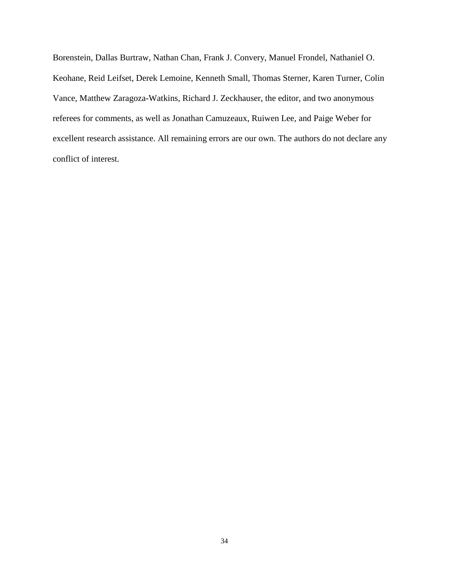Borenstein, Dallas Burtraw, Nathan Chan, Frank J. Convery, Manuel Frondel, Nathaniel O. Keohane, Reid Leifset, Derek Lemoine, Kenneth Small, Thomas Sterner, Karen Turner, Colin Vance, Matthew Zaragoza-Watkins, Richard J. Zeckhauser, the editor, and two anonymous referees for comments, as well as Jonathan Camuzeaux, Ruiwen Lee, and Paige Weber for excellent research assistance. All remaining errors are our own. The authors do not declare any conflict of interest.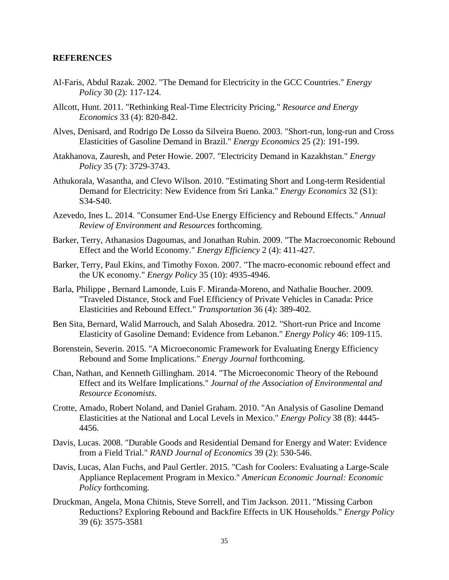# **REFERENCES**

- <span id="page-34-5"></span>Al-Faris, Abdul Razak. 2002. "The Demand for Electricity in the GCC Countries." *Energy Policy* 30 (2): 117-124.
- <span id="page-34-3"></span>Allcott, Hunt. 2011. "Rethinking Real-Time Electricity Pricing." *Resource and Energy Economics* 33 (4): 820-842.
- <span id="page-34-6"></span>Alves, Denisard, and Rodrigo De Losso da Silveira Bueno. 2003. "Short-run, long-run and Cross Elasticities of Gasoline Demand in Brazil." *Energy Economics* 25 (2): 191-199.
- <span id="page-34-7"></span>Atakhanova, Zauresh, and Peter Howie. 2007. "Electricity Demand in Kazakhstan." *Energy Policy* 35 (7): 3729-3743.
- <span id="page-34-8"></span>Athukorala, Wasantha, and Clevo Wilson. 2010. "Estimating Short and Long-term Residential Demand for Electricity: New Evidence from Sri Lanka." *Energy Economics* 32 (S1): S34-S40.
- <span id="page-34-1"></span>Azevedo, Ines L. 2014. "Consumer End-Use Energy Efficiency and Rebound Effects." *Annual Review of Environment and Resources* forthcoming.
- <span id="page-34-14"></span>Barker, Terry, Athanasios Dagoumas, and Jonathan Rubin. 2009. "The Macroeconomic Rebound Effect and the World Economy." *Energy Efficiency* 2 (4): 411-427.
- <span id="page-34-15"></span>Barker, Terry, Paul Ekins, and Timothy Foxon. 2007. "The macro-economic rebound effect and the UK economy." *Energy Policy* 35 (10): 4935-4946.
- <span id="page-34-4"></span>Barla, Philippe , Bernard Lamonde, Luis F. Miranda-Moreno, and Nathalie Boucher. 2009. "Traveled Distance, Stock and Fuel Efficiency of Private Vehicles in Canada: Price Elasticities and Rebound Effect." *Transportation* 36 (4): 389-402.
- <span id="page-34-9"></span>Ben Sita, Bernard, Walid Marrouch, and Salah Abosedra. 2012. "Short-run Price and Income Elasticity of Gasoline Demand: Evidence from Lebanon." *Energy Policy* 46: 109-115.
- <span id="page-34-0"></span>Borenstein, Severin. 2015. "A Microeconomic Framework for Evaluating Energy Efficiency Rebound and Some Implications." *Energy Journal* forthcoming.
- <span id="page-34-2"></span>Chan, Nathan, and Kenneth Gillingham. 2014. "The Microeconomic Theory of the Rebound Effect and its Welfare Implications." *Journal of the Association of Environmental and Resource Economists*.
- <span id="page-34-10"></span>Crotte, Amado, Robert Noland, and Daniel Graham. 2010. "An Analysis of Gasoline Demand Elasticities at the National and Local Levels in Mexico." *Energy Policy* 38 (8): 4445- 4456.
- <span id="page-34-11"></span>Davis, Lucas. 2008. "Durable Goods and Residential Demand for Energy and Water: Evidence from a Field Trial." *RAND Journal of Economics* 39 (2): 530-546.
- <span id="page-34-12"></span>Davis, Lucas, Alan Fuchs, and Paul Gertler. 2015. "Cash for Coolers: Evaluating a Large-Scale Appliance Replacement Program in Mexico." *American Economic Journal: Economic Policy* forthcoming.
- <span id="page-34-13"></span>Druckman, Angela, Mona Chitnis, Steve Sorrell, and Tim Jackson. 2011. "Missing Carbon Reductions? Exploring Rebound and Backfire Effects in UK Households." *Energy Policy* 39 (6): 3575-3581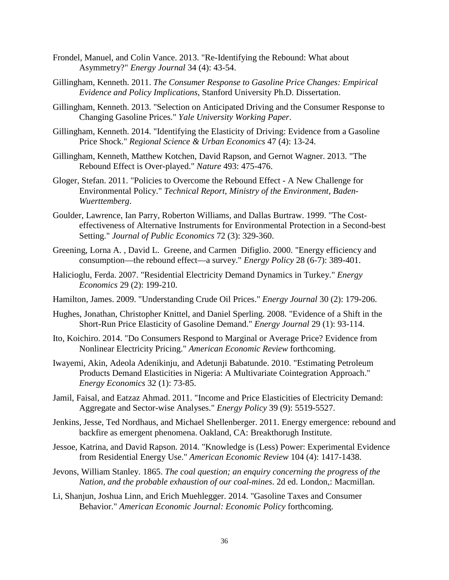- <span id="page-35-2"></span>Frondel, Manuel, and Colin Vance. 2013. "Re-Identifying the Rebound: What about Asymmetry?" *Energy Journal* 34 (4): 43-54.
- <span id="page-35-1"></span>Gillingham, Kenneth. 2011. *The Consumer Response to Gasoline Price Changes: Empirical Evidence and Policy Implications*, Stanford University Ph.D. Dissertation.
- <span id="page-35-14"></span>Gillingham, Kenneth. 2013. "Selection on Anticipated Driving and the Consumer Response to Changing Gasoline Prices." *Yale University Working Paper*.
- <span id="page-35-4"></span>Gillingham, Kenneth. 2014. "Identifying the Elasticity of Driving: Evidence from a Gasoline Price Shock." *Regional Science & Urban Economics* 47 (4): 13-24.
- <span id="page-35-15"></span>Gillingham, Kenneth, Matthew Kotchen, David Rapson, and Gernot Wagner. 2013. "The Rebound Effect is Over-played." *Nature* 493: 475-476.
- <span id="page-35-17"></span>Gloger, Stefan. 2011. "Policies to Overcome the Rebound Effect - A New Challenge for Environmental Policy." *Technical Report, Ministry of the Environment, Baden-Wuerttemberg*.
- <span id="page-35-16"></span>Goulder, Lawrence, Ian Parry, Roberton Williams, and Dallas Burtraw. 1999. "The Costeffectiveness of Alternative Instruments for Environmental Protection in a Second-best Setting." *Journal of Public Economics* 72 (3): 329-360.
- <span id="page-35-8"></span>Greening, Lorna A. , David L. Greene, and Carmen Difiglio. 2000. "Energy efficiency and consumption—the rebound effect—a survey." *Energy Policy* 28 (6-7): 389-401.
- <span id="page-35-11"></span>Halicioglu, Ferda. 2007. "Residential Electricity Demand Dynamics in Turkey." *Energy Economics* 29 (2): 199-210.
- <span id="page-35-10"></span>Hamilton, James. 2009. "Understanding Crude Oil Prices." *Energy Journal* 30 (2): 179-206.
- <span id="page-35-5"></span>Hughes, Jonathan, Christopher Knittel, and Daniel Sperling. 2008. "Evidence of a Shift in the Short-Run Price Elasticity of Gasoline Demand." *Energy Journal* 29 (1): 93-114.
- <span id="page-35-6"></span>Ito, Koichiro. 2014. "Do Consumers Respond to Marginal or Average Price? Evidence from Nonlinear Electricity Pricing." *American Economic Review* forthcoming.
- <span id="page-35-12"></span>Iwayemi, Akin, Adeola Adenikinju, and Adetunji Babatunde. 2010. "Estimating Petroleum Products Demand Elasticities in Nigeria: A Multivariate Cointegration Approach." *Energy Economics* 32 (1): 73-85.
- <span id="page-35-13"></span>Jamil, Faisal, and Eatzaz Ahmad. 2011. "Income and Price Elasticities of Electricity Demand: Aggregate and Sector-wise Analyses." *Energy Policy* 39 (9): 5519-5527.
- <span id="page-35-9"></span>Jenkins, Jesse, Ted Nordhaus, and Michael Shellenberger. 2011. Energy emergence: rebound and backfire as emergent phenomena. Oakland, CA: Breakthorugh Institute.
- <span id="page-35-7"></span>Jessoe, Katrina, and David Rapson. 2014. "Knowledge is (Less) Power: Experimental Evidence from Residential Energy Use." *American Economic Review* 104 (4): 1417-1438.
- <span id="page-35-0"></span>Jevons, William Stanley. 1865. *The coal question; an enquiry concerning the progress of the Nation, and the probable exhaustion of our coal-mines*. 2d ed. London,: Macmillan.
- <span id="page-35-3"></span>Li, Shanjun, Joshua Linn, and Erich Muehlegger. 2014. "Gasoline Taxes and Consumer Behavior." *American Economic Journal: Economic Policy* forthcoming.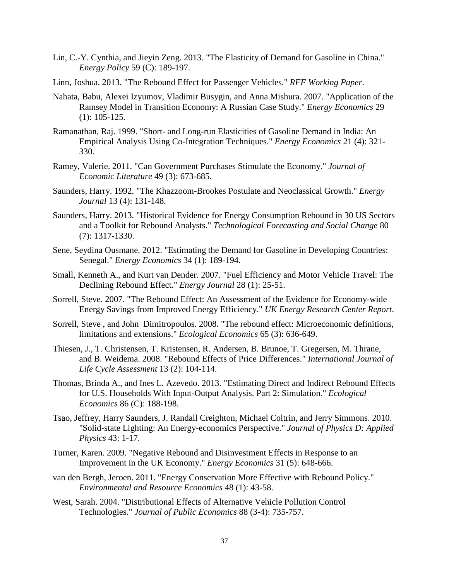- <span id="page-36-6"></span>Lin, C.-Y. Cynthia, and Jieyin Zeng. 2013. "The Elasticity of Demand for Gasoline in China." *Energy Policy* 59 (C): 189-197.
- <span id="page-36-3"></span>Linn, Joshua. 2013. "The Rebound Effect for Passenger Vehicles." *RFF Working Paper*.
- <span id="page-36-7"></span>Nahata, Babu, Alexei Izyumov, Vladimir Busygin, and Anna Mishura. 2007. "Application of the Ramsey Model in Transition Economy: A Russian Case Study." *Energy Economics* 29 (1): 105-125.
- <span id="page-36-8"></span>Ramanathan, Raj. 1999. "Short- and Long-run Elasticities of Gasoline Demand in India: An Empirical Analysis Using Co-Integration Techniques." *Energy Economics* 21 (4): 321- 330.
- <span id="page-36-11"></span>Ramey, Valerie. 2011. "Can Government Purchases Stimulate the Economy." *Journal of Economic Literature* 49 (3): 673-685.
- <span id="page-36-12"></span>Saunders, Harry. 1992. "The Khazzoom-Brookes Postulate and Neoclassical Growth." *Energy Journal* 13 (4): 131-148.
- <span id="page-36-14"></span>Saunders, Harry. 2013. "Historical Evidence for Energy Consumption Rebound in 30 US Sectors and a Toolkit for Rebound Analysts." *Technological Forecasting and Social Change* 80 (7): 1317-1330.
- <span id="page-36-9"></span>Sene, Seydina Ousmane. 2012. "Estimating the Demand for Gasoline in Developing Countries: Senegal." *Energy Economics* 34 (1): 189-194.
- <span id="page-36-5"></span>Small, Kenneth A., and Kurt van Dender. 2007. "Fuel Efficiency and Motor Vehicle Travel: The Declining Rebound Effect." *Energy Journal* 28 (1): 25-51.
- <span id="page-36-4"></span>Sorrell, Steve. 2007. "The Rebound Effect: An Assessment of the Evidence for Economy-wide Energy Savings from Improved Energy Efficiency." *UK Energy Research Center Report*.
- <span id="page-36-1"></span>Sorrell, Steve , and John Dimitropoulos. 2008. "The rebound effect: Microeconomic definitions, limitations and extensions." *Ecological Economics* 65 (3): 636-649.
- <span id="page-36-10"></span>Thiesen, J., T. Christensen, T. Kristensen, R. Andersen, B. Brunoe, T. Gregersen, M. Thrane, and B. Weidema. 2008. "Rebound Effects of Price Differences." *International Journal of Life Cycle Assessment* 13 (2): 104-114.
- <span id="page-36-0"></span>Thomas, Brinda A., and Ines L. Azevedo. 2013. "Estimating Direct and Indirect Rebound Effects for U.S. Households With Input-Output Analysis. Part 2: Simulation." *Ecological Economics* 86 (C): 188-198.
- <span id="page-36-13"></span>Tsao, Jeffrey, Harry Saunders, J. Randall Creighton, Michael Coltrin, and Jerry Simmons. 2010. "Solid-state Lighting: An Energy-economics Perspective." *Journal of Physics D: Applied Physics* 43: 1-17.
- <span id="page-36-15"></span>Turner, Karen. 2009. "Negative Rebound and Disinvestment Effects in Response to an Improvement in the UK Economy." *Energy Economics* 31 (5): 648-666.
- <span id="page-36-16"></span>van den Bergh, Jeroen. 2011. "Energy Conservation More Effective with Rebound Policy." *Environmental and Resource Economics* 48 (1): 43-58.
- <span id="page-36-2"></span>West, Sarah. 2004. "Distributional Effects of Alternative Vehicle Pollution Control Technologies." *Journal of Public Economics* 88 (3-4): 735-757.